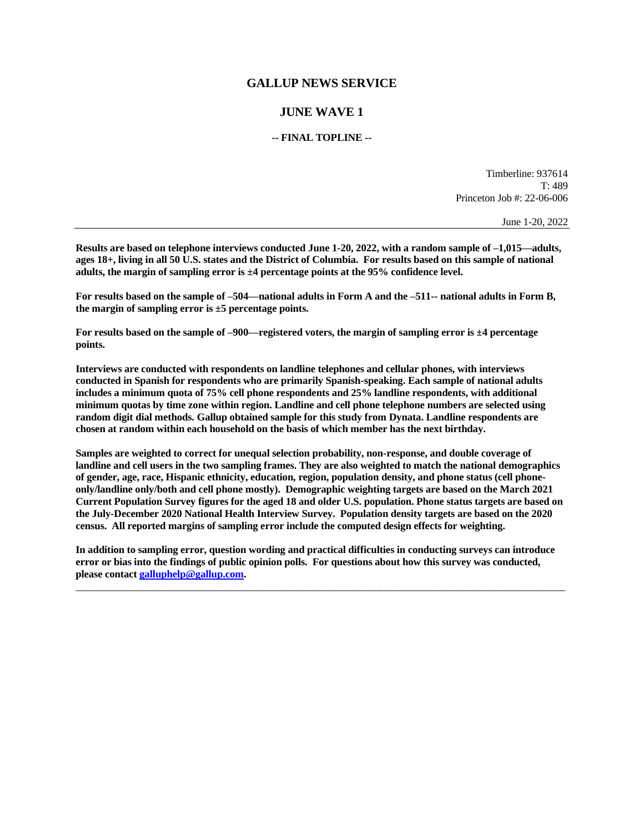## **GALLUP NEWS SERVICE**

## **JUNE WAVE 1**

## **-- FINAL TOPLINE --**

Timberline: 937614 T: 489 Princeton Job #: 22-06-006

June 1-20, 2022

**Results are based on telephone interviews conducted June 1-20, 2022, with a random sample of –1,015—adults, ages 18+, living in all 50 U.S. states and the District of Columbia. For results based on this sample of national adults, the margin of sampling error is ±4 percentage points at the 95% confidence level.** 

**For results based on the sample of –504—national adults in Form A and the –511-- national adults in Form B, the margin of sampling error is ±5 percentage points.**

**For results based on the sample of –900—registered voters, the margin of sampling error is ±4 percentage points.**

**Interviews are conducted with respondents on landline telephones and cellular phones, with interviews conducted in Spanish for respondents who are primarily Spanish-speaking. Each sample of national adults includes a minimum quota of 75% cell phone respondents and 25% landline respondents, with additional minimum quotas by time zone within region. Landline and cell phone telephone numbers are selected using random digit dial methods. Gallup obtained sample for this study from Dynata. Landline respondents are chosen at random within each household on the basis of which member has the next birthday.**

**Samples are weighted to correct for unequal selection probability, non-response, and double coverage of landline and cell users in the two sampling frames. They are also weighted to match the national demographics of gender, age, race, Hispanic ethnicity, education, region, population density, and phone status (cell phoneonly/landline only/both and cell phone mostly). Demographic weighting targets are based on the March 2021 Current Population Survey figures for the aged 18 and older U.S. population. Phone status targets are based on the July-December 2020 National Health Interview Survey. Population density targets are based on the 2020 census. All reported margins of sampling error include the computed design effects for weighting.** 

**In addition to sampling error, question wording and practical difficulties in conducting surveys can introduce error or bias into the findings of public opinion polls. For questions about how this survey was conducted, please contac[t galluphelp@gallup.com.](mailto:galluphelp@gallup.com)**

 $\overline{\phantom{a}}$  ,  $\overline{\phantom{a}}$  ,  $\overline{\phantom{a}}$  ,  $\overline{\phantom{a}}$  ,  $\overline{\phantom{a}}$  ,  $\overline{\phantom{a}}$  ,  $\overline{\phantom{a}}$  ,  $\overline{\phantom{a}}$  ,  $\overline{\phantom{a}}$  ,  $\overline{\phantom{a}}$  ,  $\overline{\phantom{a}}$  ,  $\overline{\phantom{a}}$  ,  $\overline{\phantom{a}}$  ,  $\overline{\phantom{a}}$  ,  $\overline{\phantom{a}}$  ,  $\overline{\phantom{a}}$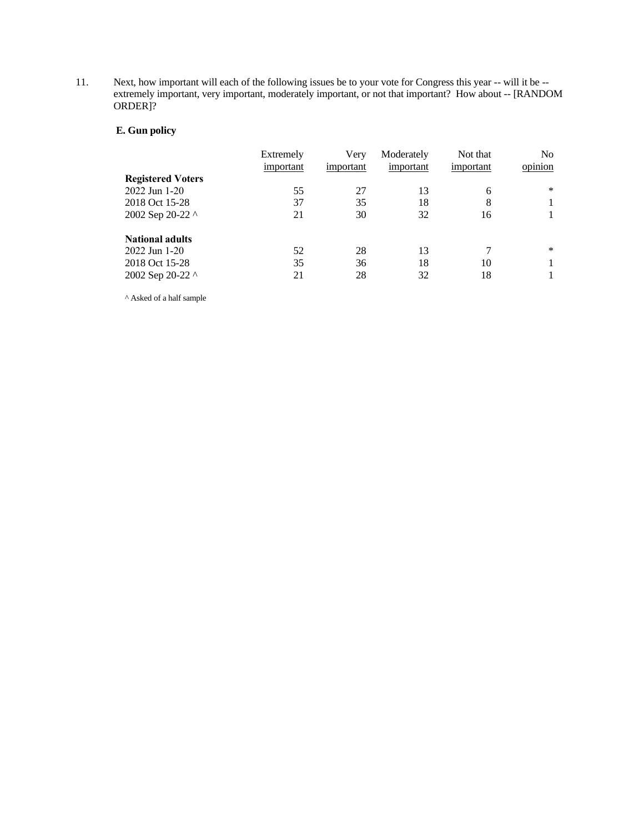11. Next, how important will each of the following issues be to your vote for Congress this year -- will it be - extremely important, very important, moderately important, or not that important? How about -- [RANDOM ORDER]?

# **E. Gun policy**

|                          | Extremely<br>important | Very<br>important | Moderately<br>important | Not that<br>important | N <sub>0</sub><br>opinion |
|--------------------------|------------------------|-------------------|-------------------------|-----------------------|---------------------------|
| <b>Registered Voters</b> |                        |                   |                         |                       |                           |
| $2022$ Jun 1-20          | 55                     | 27                | 13                      | 6                     | $\ast$                    |
| 2018 Oct 15-28           | 37                     | 35                | 18                      | 8                     |                           |
| 2002 Sep 20-22 ^         | 21                     | 30                | 32                      | 16                    |                           |
| <b>National adults</b>   |                        |                   |                         |                       |                           |
| $2022$ Jun 1-20          | 52                     | 28                | 13                      |                       | $\ast$                    |
| 2018 Oct 15-28           | 35                     | 36                | 18                      | 10                    |                           |
| 2002 Sep 20-22 ^         | 21                     | 28                | 32                      | 18                    |                           |

 $^\wedge$  Asked of a half sample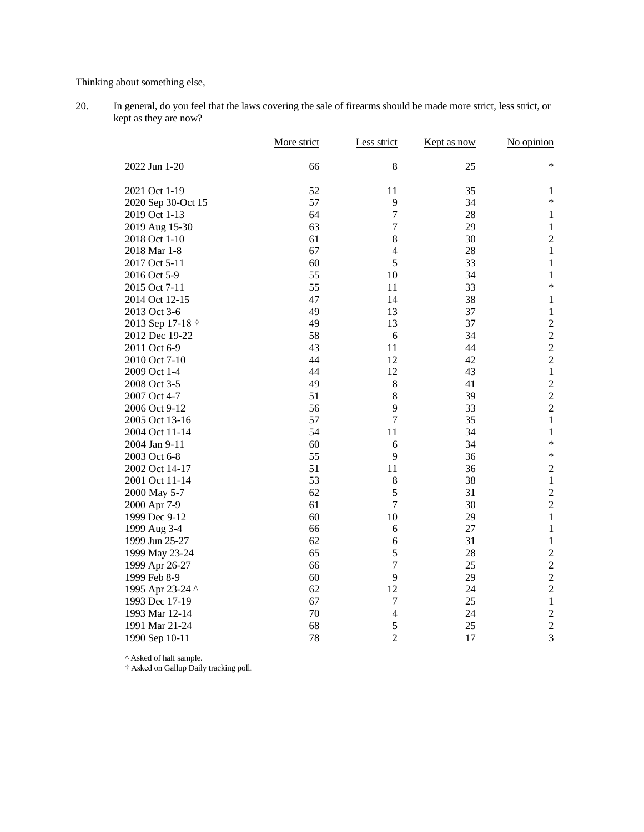Thinking about something else,

20. In general, do you feel that the laws covering the sale of firearms should be made more strict, less strict, or kept as they are now?

|                    | More strict | Less strict      | Kept as now | No opinion       |
|--------------------|-------------|------------------|-------------|------------------|
| 2022 Jun 1-20      | 66          | 8                | 25          | ∗                |
| 2021 Oct 1-19      | 52          | 11               | 35          | 1                |
| 2020 Sep 30-Oct 15 | 57          | 9                | 34          | $\ast$           |
| 2019 Oct 1-13      | 64          | $\boldsymbol{7}$ | 28          | $\mathbf{1}$     |
| 2019 Aug 15-30     | 63          | $\tau$           | 29          | $\mathbf{1}$     |
| 2018 Oct 1-10      | 61          | 8                | 30          | $\sqrt{2}$       |
| 2018 Mar 1-8       | 67          | $\overline{4}$   | 28          | $\mathbf{1}$     |
| 2017 Oct 5-11      | 60          | 5                | 33          | $\mathbf{1}$     |
| 2016 Oct 5-9       | 55          | 10               | 34          | $\mathbf{1}$     |
| 2015 Oct 7-11      | 55          | 11               | 33          | $\ast$           |
| 2014 Oct 12-15     | 47          | 14               | 38          | 1                |
| 2013 Oct 3-6       | 49          | 13               | 37          | $\mathbf{1}$     |
| 2013 Sep 17-18 †   | 49          | 13               | 37          | $\overline{c}$   |
| 2012 Dec 19-22     | 58          | 6                | 34          | $\overline{c}$   |
| 2011 Oct 6-9       | 43          | 11               | 44          | $\overline{c}$   |
| 2010 Oct 7-10      | 44          | 12               | 42          | $\overline{c}$   |
| 2009 Oct 1-4       | 44          | 12               | 43          | $\mathbf{1}$     |
| 2008 Oct 3-5       | 49          | $\,8\,$          | 41          |                  |
| 2007 Oct 4-7       | 51          | 8                | 39          | $\frac{2}{2}$    |
| 2006 Oct 9-12      | 56          | 9                | 33          | $\overline{c}$   |
| 2005 Oct 13-16     | 57          | $\overline{7}$   | 35          | $\mathbf{1}$     |
| 2004 Oct 11-14     | 54          | 11               | 34          | $\mathbf{1}$     |
| 2004 Jan 9-11      | 60          | 6                | 34          | $\ast$           |
| 2003 Oct 6-8       | 55          | 9                | 36          | $\ast$           |
| 2002 Oct 14-17     | 51          | 11               | 36          | $\boldsymbol{2}$ |
| 2001 Oct 11-14     | 53          | $\,8\,$          | 38          | $\mathbf{1}$     |
| 2000 May 5-7       | 62          | 5                | 31          | $\overline{c}$   |
| 2000 Apr 7-9       | 61          | $\tau$           | 30          | $\overline{c}$   |
| 1999 Dec 9-12      | 60          | 10               | 29          | $\mathbf{1}$     |
| 1999 Aug 3-4       | 66          | 6                | 27          | $\,1$            |
| 1999 Jun 25-27     | 62          | 6                | 31          | $\mathbf 1$      |
| 1999 May 23-24     | 65          | 5                | 28          | $\overline{c}$   |
| 1999 Apr 26-27     | 66          | $\overline{7}$   | 25          | $\overline{c}$   |
| 1999 Feb 8-9       | 60          | 9                | 29          | $\overline{c}$   |
| 1995 Apr 23-24 ^   | 62          | 12               | 24          | $\overline{c}$   |
| 1993 Dec 17-19     | 67          | $\tau$           | 25          | $\,1\,$          |
| 1993 Mar 12-14     | 70          | $\overline{4}$   | 24          | $\overline{c}$   |
| 1991 Mar 21-24     | 68          | 5                | 25          | $\overline{2}$   |
| 1990 Sep 10-11     | 78          | $\overline{2}$   | 17          | 3                |
|                    |             |                  |             |                  |

^ Asked of half sample.

† Asked on Gallup Daily tracking poll.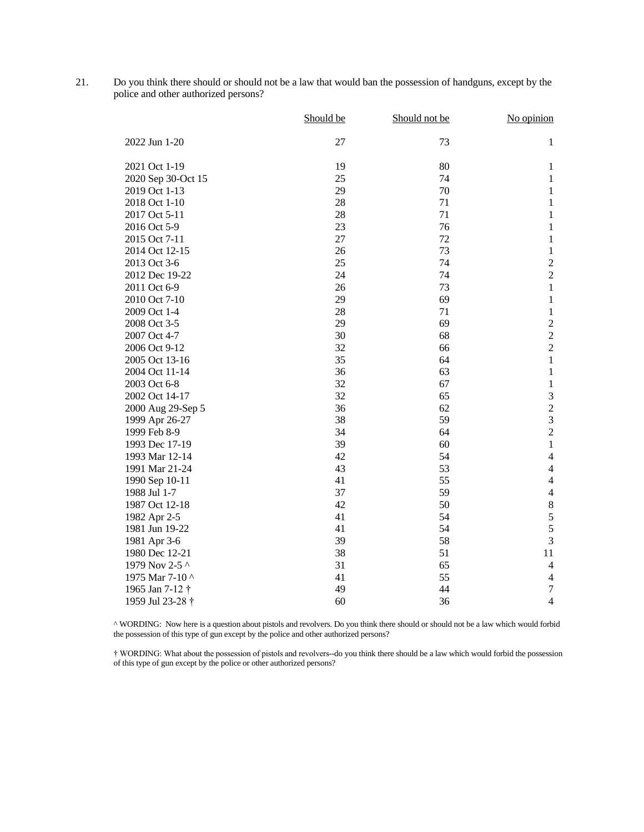21. Do you think there should or should not be a law that would ban the possession of handguns, except by the police and other authorized persons?

|                             | Should be | Should not be | No opinion              |
|-----------------------------|-----------|---------------|-------------------------|
| 2022 Jun 1-20               | 27        | 73            | $\mathbf{1}$            |
| 2021 Oct 1-19               | 19        | 80            | 1                       |
| 2020 Sep 30-Oct 15          | 25        | 74            | $\mathbf{1}$            |
| 2019 Oct 1-13               | 29        | 70            | $\mathbf{1}$            |
| 2018 Oct 1-10               | 28        | 71            | $\mathbf 1$             |
| 2017 Oct 5-11               | 28        | 71            | $\mathbf 1$             |
| 2016 Oct 5-9                | 23        | 76            | $\mathbf{1}$            |
| 2015 Oct 7-11               | 27        | 72            | $\mathbf 1$             |
| 2014 Oct 12-15              | 26        | 73            | $\mathbf{1}$            |
| 2013 Oct 3-6                | 25        | 74            | $\overline{c}$          |
| 2012 Dec 19-22              | 24        | 74            | $\overline{c}$          |
| 2011 Oct 6-9                | 26        | 73            | $\mathbf{1}$            |
| 2010 Oct 7-10               | 29        | 69            | $\mathbf 1$             |
| 2009 Oct 1-4                | 28        | 71            | $\mathbf 1$             |
| 2008 Oct 3-5                | 29        | 69            | $\overline{c}$          |
| 2007 Oct 4-7                | 30        | 68            | $\overline{c}$          |
| 2006 Oct 9-12               | 32        | 66            | $\overline{c}$          |
| 2005 Oct 13-16              | 35        | 64            | $\mathbf{1}$            |
| 2004 Oct 11-14              | 36        | 63            | $\mathbf{1}$            |
| 2003 Oct 6-8                | 32        | 67            | $\mathbf{1}$            |
| 2002 Oct 14-17              | 32        | 65            | 3                       |
| 2000 Aug 29-Sep 5           | 36        | 62            | $\overline{c}$          |
| 1999 Apr 26-27              | 38        | 59            | $\overline{\mathbf{3}}$ |
| 1999 Feb 8-9                | 34        | 64            | $\overline{c}$          |
| 1993 Dec 17-19              | 39        | 60            | $\mathbf{1}$            |
| 1993 Mar 12-14              | 42        | 54            | $\overline{4}$          |
| 1991 Mar 21-24              | 43        | 53            | $\overline{4}$          |
| 1990 Sep 10-11              | 41        | 55            | $\overline{4}$          |
| 1988 Jul 1-7                | 37        | 59            | $\overline{4}$          |
| 1987 Oct 12-18              | 42        | 50            | $\,8$                   |
| 1982 Apr 2-5                | 41        | 54            | 5                       |
| 1981 Jun 19-22              | 41        | 54            | 5                       |
| 1981 Apr 3-6                | 39        | 58            | 3                       |
| 1980 Dec 12-21              | 38        | 51            | 11                      |
| 1979 Nov 2-5 ^              | 31        | 65            | $\overline{4}$          |
| 1975 Mar 7-10 ^             | 41        | 55            | $\overline{4}$          |
| 1965 Jan 7-12 †             | 49        | 44            | $\tau$                  |
| 1959 Jul 23-28 <sup>+</sup> | 60        | 36            | $\overline{4}$          |

^ WORDING: Now here is a question about pistols and revolvers. Do you think there should or should not be a law which would forbid the possession of this type of gun except by the police and other authorized persons?

† WORDING: What about the possession of pistols and revolvers--do you think there should be a law which would forbid the possession of this type of gun except by the police or other authorized persons?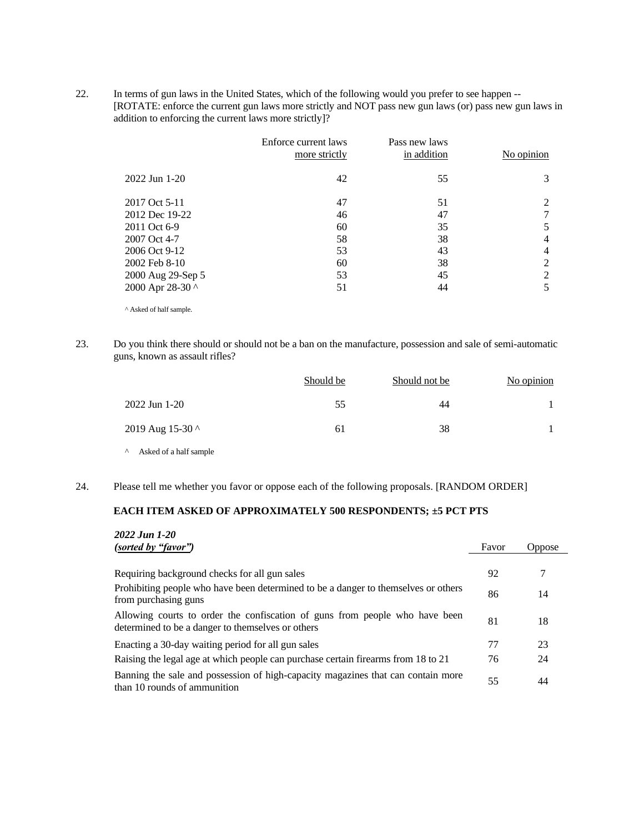22. In terms of gun laws in the United States, which of the following would you prefer to see happen -- [ROTATE: enforce the current gun laws more strictly and NOT pass new gun laws (or) pass new gun laws in addition to enforcing the current laws more strictly]?

|                   | Enforce current laws<br>more strictly | Pass new laws<br>in addition | No opinion     |
|-------------------|---------------------------------------|------------------------------|----------------|
| $2022$ Jun 1-20   | 42                                    | 55                           | 3              |
| 2017 Oct 5-11     | 47                                    | 51                           | 2              |
| 2012 Dec 19-22    | 46                                    | 47                           |                |
| 2011 Oct 6-9      | 60                                    | 35                           | 5              |
| 2007 Oct 4-7      | 58                                    | 38                           | 4              |
| 2006 Oct 9-12     | 53                                    | 43                           | 4              |
| 2002 Feb 8-10     | 60                                    | 38                           | $\overline{2}$ |
| 2000 Aug 29-Sep 5 | 53                                    | 45                           | 2              |
| 2000 Apr 28-30 ^  | 51                                    | 44                           | 5              |

^ Asked of half sample.

23. Do you think there should or should not be a ban on the manufacture, possession and sale of semi-automatic guns, known as assault rifles?

|                  | Should be | Should not be | No opinion |
|------------------|-----------|---------------|------------|
| 2022 Jun 1-20    | 55        | 44            |            |
| 2019 Aug 15-30 ^ | 61        | 38            |            |
| .                |           |               |            |

^ Asked of a half sample

24. Please tell me whether you favor or oppose each of the following proposals. [RANDOM ORDER]

## **EACH ITEM ASKED OF APPROXIMATELY 500 RESPONDENTS; ±5 PCT PTS**

| 2022 Jun 1-20<br>(sorted by "favor")                                                                                             | Favor | <b>Oppose</b> |
|----------------------------------------------------------------------------------------------------------------------------------|-------|---------------|
|                                                                                                                                  |       |               |
| Requiring background checks for all gun sales                                                                                    | 92    | 7             |
| Prohibiting people who have been determined to be a danger to themselves or others<br>from purchasing guns                       | 86    | 14            |
| Allowing courts to order the confiscation of guns from people who have been<br>determined to be a danger to themselves or others | 81    | 18            |
| Enacting a 30-day waiting period for all gun sales                                                                               | 77    | 23            |
| Raising the legal age at which people can purchase certain firearms from 18 to 21                                                | 76    | 24            |
| Banning the sale and possession of high-capacity magazines that can contain more<br>than 10 rounds of ammunition                 | 55    | 44            |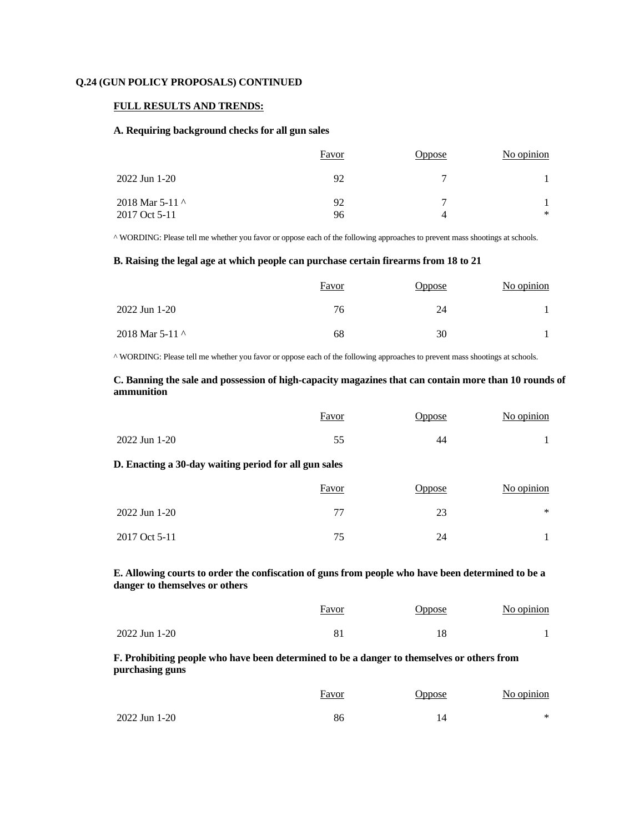### **Q.24 (GUN POLICY PROPOSALS) CONTINUED**

### **FULL RESULTS AND TRENDS:**

### **A. Requiring background checks for all gun sales**

|                                  | Favor    | Oppose | No opinion |
|----------------------------------|----------|--------|------------|
| 2022 Jun 1-20                    | 92       |        |            |
| 2018 Mar 5-11 ^<br>2017 Oct 5-11 | 92<br>96 | −<br>Δ | ∗          |
|                                  |          |        |            |

^ WORDING: Please tell me whether you favor or oppose each of the following approaches to prevent mass shootings at schools.

### **B. Raising the legal age at which people can purchase certain firearms from 18 to 21**

|                 | Favor | Oppose | No opinion |
|-----------------|-------|--------|------------|
| 2022 Jun 1-20   | 76    | 24     |            |
| 2018 Mar 5-11 ^ | 68    | 30     |            |

^ WORDING: Please tell me whether you favor or oppose each of the following approaches to prevent mass shootings at schools.

### **C. Banning the sale and possession of high-capacity magazines that can contain more than 10 rounds of ammunition**

|                                                       | <b>Favor</b> | <b>Oppose</b> | No opinion |  |  |  |  |  |  |
|-------------------------------------------------------|--------------|---------------|------------|--|--|--|--|--|--|
| 2022 Jun 1-20                                         | 55           | 44            |            |  |  |  |  |  |  |
| D. Enacting a 30-day waiting period for all gun sales |              |               |            |  |  |  |  |  |  |
|                                                       | <b>Favor</b> | <b>Oppose</b> | No opinion |  |  |  |  |  |  |
| 2022 Jun 1-20                                         | 77           | 23            | ∗          |  |  |  |  |  |  |
| 2017 Oct 5-11                                         | 75           | 24            |            |  |  |  |  |  |  |

## **E. Allowing courts to order the confiscation of guns from people who have been determined to be a danger to themselves or others**

|               | Favor    | Jppose | No opinion |
|---------------|----------|--------|------------|
| 2022 Jun 1-20 | o.<br>ŌΙ |        |            |

## **F. Prohibiting people who have been determined to be a danger to themselves or others from purchasing guns**

|               | Favor | <b>Oppose</b> | No opinion |
|---------------|-------|---------------|------------|
| 2022 Jun 1-20 | 86    |               | $\ast$     |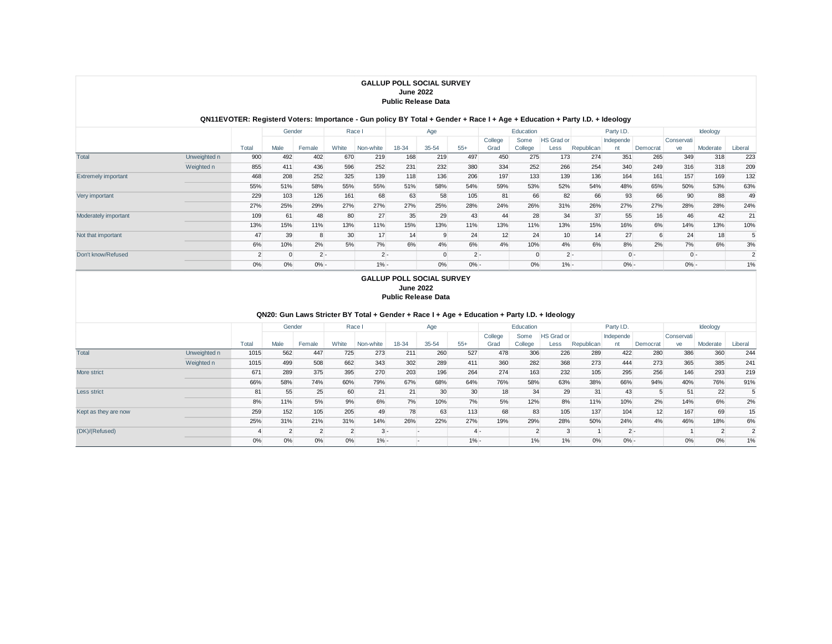#### **QN11EVOTER: Registerd Voters: Importance - Gun policy BY Total + Gender + Race I + Age + Education + Party I.D. + Ideology**

|                            |              |       | Gender |        | Race I |           | Age   |           | Education |                 |                 | Party I.D.         |            |                 | Ideology |                  |          |         |
|----------------------------|--------------|-------|--------|--------|--------|-----------|-------|-----------|-----------|-----------------|-----------------|--------------------|------------|-----------------|----------|------------------|----------|---------|
|                            |              | Total | Male   | Female | White  | Non-white | 18-34 | $35 - 54$ | $55+$     | College<br>Grad | Some<br>College | HS Grad or<br>Less | Republican | Independe<br>nt | Democrat | Conservati<br>ve | Moderate | Liberal |
| Total                      | Unweighted n | 900   | 492    | 402    | 670    | 219       | 168   | 219       | 497       | 450             | 275             | 173                | 274        | 351             | 265      | 349              | 318      | 223     |
|                            | Weighted n   | 855   | 411    | 436    | 596    | 252       | 231   | 232       | 380       | 334             | 252             | 266                | 254        | 340             | 249      | 316              | 318      | 209     |
| <b>Extremely important</b> |              | 468   | 208    | 252    | 325    | 139       | 118   | 136       | 206       | 197             | 133             | 139                | 136        | 164             | 161      | 157              | 169      | 132     |
|                            |              | 55%   | 51%    | 58%    | 55%    | 55%       | 51%   | 58%       | 54%       | 59%             | 53%             | 52%                | 54%        | 48%             | 65%      | 50%              | 53%      | 63%     |
| Very important             |              | 229   | 103    | 126    | 161    | 68        | 63    | 58        | 105       | 81              | 66              | 82                 | 66         | 93              | 66       | 90               | 88       | 49      |
|                            |              | 27%   | 25%    | 29%    | 27%    | 27%       | 27%   | 25%       | 28%       | 24%             | 26%             | 31%                | 26%        | 27%             | 27%      | 28%              | 28%      | 24%     |
| Moderately important       |              | 109   | 61     | 48     | 80     | 27        | 35    | 29        | 43        | 44              | 28              | 34                 | 37         | 55              | 16       | 46               | 42       | 21      |
|                            |              | 13%   | 15%    | 11%    | 13%    | 11%       | 15%   | 13%       | 11%       | 13%             | 11%             | 13%                | 15%        | 16%             | 6%       | 14%              | 13%      | 10%     |
| Not that important         |              | 47    | 39     |        | 30     | 17        | 14    | 9         | 24        | 12              | 24              | 10 <sup>1</sup>    | 14         | 27              | 6        | 24               | 18       |         |
|                            |              | 6%    | 10%    | 2%     | 5%     | 7%        | 6%    | 4%        | 6%        | 4%              | 10%             | 4%                 | 6%         | 8%              | 2%       | 7%               | 6%       | 3%      |
| Don't know/Refused         |              |       |        | $2 -$  |        | $2 -$     |       | $\Omega$  | $2 -$     |                 | 0               |                    | $2 -$      |                 | $0 -$    |                  | $0 -$    | 2       |
|                            |              | 0%    | 0%     | $0% -$ |        | $1% -$    |       | 0%        | $0% -$    |                 | 0%              | $1% -$             |            | $0% -$          |          | $0% -$           |          | 1%      |

#### **GALLUP POLL SOCIAL SURVEY June 2022 Public Release Data**

**QN20: Gun Laws Stricter BY Total + Gender + Race I + Age + Education + Party I.D. + Ideology**

|                      |              |       | Gender |        | Race I                  |           |       | Age   |       |                 | Education       |                           |            | Party I.D.      |          |                  | Ideology |         |
|----------------------|--------------|-------|--------|--------|-------------------------|-----------|-------|-------|-------|-----------------|-----------------|---------------------------|------------|-----------------|----------|------------------|----------|---------|
|                      |              | Total | Male   | Female | White                   | Non-white | 18-34 | 35-54 | $55+$ | College<br>Grad | Some<br>College | <b>HS</b> Grad or<br>Less | Republican | Independe<br>nt | Democrat | Conservati<br>ve | Moderate | Liberal |
| Total                | Unweighted n | 1015  | 562    | 447    | 725                     | 273       | 211   | 260   | 527   | 478             | 306             | 226                       | 289        | 422             | 280      | 386              | 360      | 244     |
| More strict          | Weighted n   | 1015  | 499    | 508    | 662                     | 343       | 302   | 289   | 411   | 360             | 282             | 368                       | 273        | 444             | 273      | 365              | 385      | 241     |
|                      |              | 671   | 289    | 375    | 395                     | 270       | 203   | 196   | 264   | 274             | 163             | 232                       | 105        | 295             | 256      | 146              | 293      | 219     |
|                      |              | 66%   | 58%    | 74%    | 60%                     | 79%       | 67%   | 68%   | 64%   | 76%             | 58%             | 63%                       | 38%        | 66%             | 94%      | 40%              | 76%      | 91%     |
| Less strict          |              | 81    | 55     | 25     | 60                      | 21        | 21    | 30    | 30    | 18              | 34              | 29                        | 31         | 43              |          | 51               | 22       |         |
|                      |              | 8%    | 11%    | 5%     | 9%                      | 6%        | 7%    | 10%   | 7%    | 5%              | 12%             | 8%                        | 11%        | 10%             | 2%       | 14%              | 6%       | 2%      |
| Kept as they are now |              | 259   | 152    | 105    | 205                     | 49        | 78    | 63    | 113   | 68              | 83              | 105                       | 137        | 104             | 12       | 167              | 69       | 15      |
|                      |              | 25%   | 31%    | 21%    | 31%                     | 14%       | 26%   | 22%   | 27%   | 19%             | 29%             | 28%                       | 50%        | 24%             | 4%       | 46%              | 18%      | 6%      |
| (DK)/(Refused)       |              |       |        |        | $\overline{\mathbf{c}}$ | $3 -$     |       |       |       |                 |                 |                           |            | $2 -$           |          |                  |          |         |
|                      |              | 0%    | 0%     | 0%     | 0%                      | $1% -$    |       |       | $1\%$ |                 | 1%              | 1%                        | 0%         | $0% -$          |          | 0%               | 0%       | 1%      |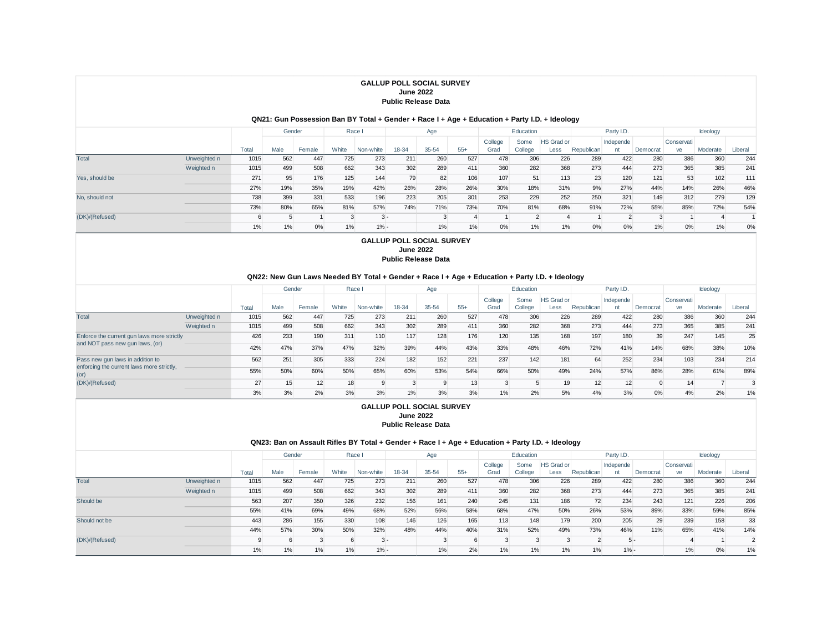#### **QN21: Gun Possession Ban BY Total + Gender + Race I + Age + Education + Party I.D. + Ideology**

|                |              |       | Gender |        | Race I |           |       | Age   |       |         | Education |                   |            | Party I.D. |          |            | Ideology |         |
|----------------|--------------|-------|--------|--------|--------|-----------|-------|-------|-------|---------|-----------|-------------------|------------|------------|----------|------------|----------|---------|
|                |              |       |        |        |        |           |       |       |       | College | Some      | <b>HS</b> Grad or |            | Independe  |          | Conservati |          |         |
|                |              | Total | Male   | Female | White  | Non-white | 18-34 | 35-54 | $55+$ | Grad    | College   | Less              | Republican | nt         | Democrat | ve         | Moderate | Liberal |
| Total          | Unweighted n | 1015  | 562    | 447    | 725    | 273       | 211   | 260   | 527   | 478     | 306       | 226               | 289        | 422        | 280      | 386        | 360      | 244     |
|                | Weighted n   | 1015  | 499    | 508    | 662    | 343       | 302   | 289   | 411   | 360     | 282       | 368               | 273        | 444        | 273      | 365        | 385      | 241     |
| Yes, should be |              | 271   | 95     | 176    | 125    | 144       | 79    | 82    | 106   | 107     | 51        | 113               | 23         | 120        | 121      | 53         | 102      | 111     |
|                |              | 27%   | 19%    | 35%    | 19%    | 42%       | 26%   | 28%   | 26%   | 30%     | 18%       | 31%               | 9%         | 27%        | 44%      | 14%        | 26%      | 46%     |
| No, should not |              | 738   | 399    | 331    | 533    | 196       | 223   | 205   | 301   | 253     | 229       | 252               | 250        | 321        | 149      | 312        | 279      | 129     |
|                |              | 73%   | 80%    | 65%    | 81%    | 57%       | 74%   | 71%   | 73%   | 70%     | 81%       | 68%               | 91%        | 72%        | 55%      | 85%        | 72%      | 54%     |
| (DK)/(Refused) |              |       |        |        |        | $3 -$     |       |       |       |         | ◠         |                   |            |            |          |            |          |         |
|                |              | 1%    | 1%     | 0%     | 1%     | $1% -$    |       | 1%    | 1%    | 0%      | 1%        | 1%                | 0%         | 0%         | 1%       | 0%         | 1%       | 0%      |

#### **GALLUP POLL SOCIAL SURVEY June 2022 Public Release Data**

#### **QN22: New Gun Laws Needed BY Total + Gender + Race I + Age + Education + Party I.D. + Ideology**

|                                                                               |              |       |      | Gender | Race I |           |       | Age       |       |                 | Education       |                           |            | Party I.D.      |          |                  | Ideology |         |
|-------------------------------------------------------------------------------|--------------|-------|------|--------|--------|-----------|-------|-----------|-------|-----------------|-----------------|---------------------------|------------|-----------------|----------|------------------|----------|---------|
|                                                                               |              | Total | Male | Female | White  | Non-white | 18-34 | $35 - 54$ | $55+$ | College<br>Grad | Some<br>College | <b>HS</b> Grad or<br>Less | Republican | Independe<br>nt | Democrat | Conservati<br>ve | Moderate | Liberal |
| Total                                                                         | Unweighted n | 1015  | 562  | 447    | 725    | 273       | 211   | 260       | 527   | 478             | 306             | 226                       | 289        | 422             | 280      | 386              | 360      | 244     |
|                                                                               | Weighted n   | 1015  | 499  | 508    | 662    | 343       | 302   | 289       | 411   | 360             | 282             | 368                       | 273        | 444             | 273      | 365              | 385      | 241     |
| Enforce the current gun laws more strictly<br>and NOT pass new gun laws, (or) |              | 426   | 233  | 190    | 311    | 110       | 117   | 128       | 176   | 120             | 135             | 168                       | 197        | 180             | 39       | 247              | 145      | 25      |
|                                                                               |              | 42%   | 47%  | 37%    | 47%    | 32%       | 39%   | 44%       | 43%   | 33%             | 48%             | 46%                       | 72%        | 41%             | 14%      | 68%              | 38%      | 10%     |
| Pass new gun laws in addition to                                              |              | 562   | 251  | 305    | 333    | 224       | 182   | 152       | 221   | 237             | 142             | 181                       | 64         | 252             | 234      | 103              | 234      | 214     |
| enforcing the current laws more strictly,<br>(or)                             |              | 55%   | 50%  | 60%    | 50%    | 65%       | 60%   | 53%       | 54%   | 66%             | 50%             | 49%                       | 24%        | 57%             | 86%      | 28%              | 61%      | 89%     |
| (DK)/(Refused)                                                                |              | 27    | 15   | 12     | 18     | $\Omega$  |       | C         | 13    |                 |                 |                           | 12         | 12              |          | 14               |          |         |
|                                                                               |              | 3%    | 3%   | 2%     | 3%     | 3%        | 1%    | 3%        | 3%    | 1%              | 2%              | 5%                        | 4%         | 3%              | 0%       | 4%               | 2%       | 1%      |

#### **GALLUP POLL SOCIAL SURVEY June 2022 Public Release Data**

#### **QN23: Ban on Assault Rifles BY Total + Gender + Race I + Age + Education + Party I.D. + Ideology**

|                |              |       | Gender |        | Race I |           |       | Age   |       |         | Education |                   |            | Party I.D. |          |            | Ideology |         |
|----------------|--------------|-------|--------|--------|--------|-----------|-------|-------|-------|---------|-----------|-------------------|------------|------------|----------|------------|----------|---------|
|                |              |       |        |        |        |           |       |       |       | College | Some      | <b>HS</b> Grad or |            | Independe  |          | Conservati |          |         |
|                |              | Total | Male   | Female | White  | Non-white | 18-34 | 35-54 | $55+$ | Grad    | College   | Less              | Republican | nt         | Democrat | ve         | Moderate | Liberal |
| Total          | Unweighted n | 1015  | 562    | 447    | 725    | 273       | 211   | 260   | 527   | 478     | 306       | 226               | 289        | 422        | 280      | 386        | 360      | 244     |
|                | Weighted n   | 1015  | 499    | 508    | 662    | 343       | 302   | 289   | 411   | 360     | 282       | 368               | 273        | 444        | 273      | 365        | 385      | 241     |
| Should be      |              | 563   | 207    | 350    | 326    | 232       | 156   | 161   | 240   | 245     | 131       | 186               | 72         | 234        | 243      | 121        | 226      | 206     |
|                |              | 55%   | 41%    | 69%    | 49%    | 68%       | 52%   | 56%   | 58%   | 68%     | 47%       | 50%               | 26%        | 53%        | 89%      | 33%        | 59%      | 85%     |
| Should not be  |              | 443   | 286    | 155    | 330    | 108       | 146   | 126   | 165   | 113     | 148       | 179               | 200        | 205        | 29       | 239        | 158      | 33      |
|                |              | 44%   | 57%    | 30%    | 50%    | 32%       | 48%   | 44%   | 40%   | 31%     | 52%       | 49%               | 73%        | 46%        | 11%      | 65%        | 41%      | 14%     |
| (DK)/(Refused) |              |       | 6      |        | 6      | $3 -$     |       |       |       |         |           |                   |            | $5 -$      |          |            |          |         |
|                |              | 1%    | 1%     | 1%     | 1%     | $1\% -$   |       | 1%    | 2%    | 1%      | 1%        | $1\%$             | 1%         | $1% -$     |          | 1%         | 0%       | 1%      |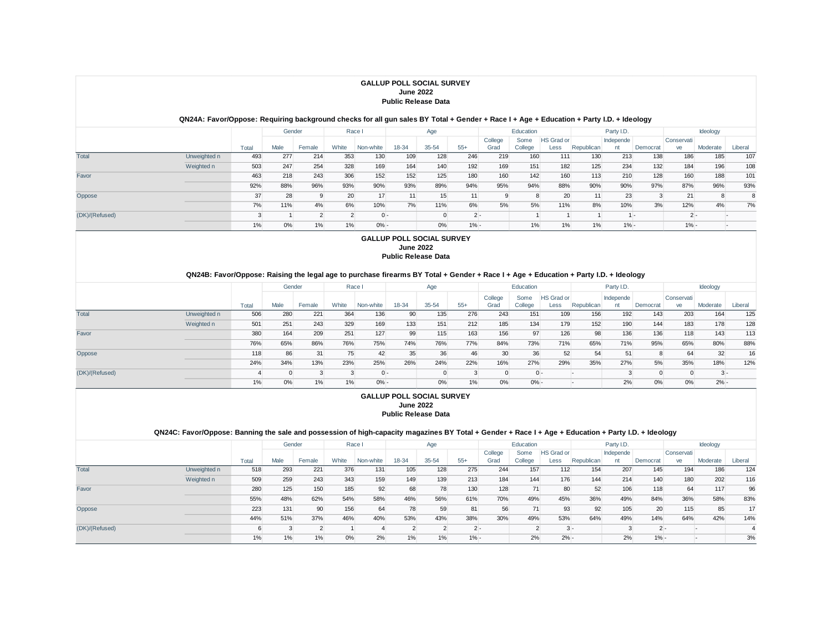#### **QN24A: Favor/Oppose: Requiring background checks for all gun sales BY Total + Gender + Race I + Age + Education + Party I.D. + Ideology**

|                |              |       | Gender |                | Race I |           |       | Age   |        |         | Education |            |            | Party I.D. |          |            | Ideology |         |
|----------------|--------------|-------|--------|----------------|--------|-----------|-------|-------|--------|---------|-----------|------------|------------|------------|----------|------------|----------|---------|
|                |              |       |        |                |        |           |       |       |        | College | Some      | HS Grad or |            | Independe  |          | Conservati |          |         |
|                |              | Total | Male   | Female         | White  | Non-white | 18-34 | 35-54 | $55+$  | Grad    | College   | Less       | Republican | nt         | Democrat | ve         | Moderate | Liberal |
| Total          | Unweighted n | 493   | 277    | 214            | 353    | 130       | 109   | 128   | 246    | 219     | 160       | 111        | 130        | 213        | 138      | 186        | 185      | 107     |
|                | Weighted n   | 503   | 247    | 254            | 328    | 169       | 164   | 140   | 192    | 169     | 151       | 182        | 125        | 234        | 132      | 184        | 196      | 108     |
| Favor          |              | 463   | 218    | 243            | 306    | 152       | 152   | 125   | 180    | 160     | 142       | 160        | 113        | 210        | 128      | 160        | 188      | 101     |
|                |              | 92%   | 88%    | 96%            | 93%    | 90%       | 93%   | 89%   | 94%    | 95%     | 94%       | 88%        | 90%        | 90%        | 97%      | 87%        | 96%      | 93%     |
| Oppose         |              | 37    | 28     | 9              | 20     | 17        | 11    | 15    | 11     |         | 8         | 20         | 11         | 23         |          | 21         |          | 8       |
|                |              | 7%    | 11%    | 4%             | 6%     | 10%       | 7%    | 11%   | 6%     | 5%      | 5%        | 11%        | 8%         | 10%        | 3%       | 12%        | 4%       | 7%      |
| (DK)/(Refused) |              |       |        | $\overline{2}$ | ◠      | $0 -$     |       |       | $2 -$  |         |           |            |            |            |          | $2 -$      |          |         |
|                |              | 1%    | 0%     | 1%             | 1%     | $0% -$    |       | 0%    | $1% -$ |         | 1%        | 1%         | 1%         | $1% -$     |          | $1% -$     |          |         |

#### **GALLUP POLL SOCIAL SURVEY June 2022 Public Release Data**

#### **QN24B: Favor/Oppose: Raising the legal age to purchase firearms BY Total + Gender + Race I + Age + Education + Party I.D. + Ideology**

|                |              |       | Gender |        | Race I |           |       | Age   |       |          | Education |                   |            | Party I.D. |          |            | Ideology |         |
|----------------|--------------|-------|--------|--------|--------|-----------|-------|-------|-------|----------|-----------|-------------------|------------|------------|----------|------------|----------|---------|
|                |              |       |        |        |        |           |       |       |       | College  | Some      | <b>HS</b> Grad or |            | Independe  |          | Conservati |          |         |
|                |              | Total | Male   | Female | White  | Non-white | 18-34 | 35-54 | $55+$ | Grad     | College   | Less              | Republican | nt         | Democrat | ve         | Moderate | Liberal |
| Total          | Unweighted n | 506   | 280    | 221    | 364    | 136       | 90    | 135   | 276   | 243      | 151       | 109               | 156        | 192        | 143      | 203        | 164      | 125     |
|                | Weighted n   | 501   | 251    | 243    | 329    | 169       | 133   | 151   | 212   | 185      | 134       | 179               | 152        | 190        | 144      | 183        | 178      | 128     |
| Favor          |              | 380   | 164    | 209    | 251    | 127       | 99    | 115   | 163   | 156      | 97        | 126               | 98         | 136        | 136      | 118        | 143      | 113     |
|                |              | 76%   | 65%    | 86%    | 76%    | 75%       | 74%   | 76%   | 77%   | 84%      | 73%       | 71%               | 65%        | 71%        | 95%      | 65%        | 80%      | 88%     |
| Oppose         |              | 118   | 86     | 31     | 75     | 42        | 35    | 36    | 46    | 30       | 36        | 52                | 54         | 51         |          | 64         | 32       | 16      |
|                |              | 24%   | 34%    | 13%    | 23%    | 25%       | 26%   | 24%   | 22%   | 16%      | 27%       | 29%               | 35%        | 27%        | 5%       | 35%        | 18%      | 12%     |
| (DK)/(Refused) |              |       |        |        |        | $0 -$     |       |       |       | $\Omega$ | $0 -$     |                   |            |            |          |            |          |         |
|                |              | $1\%$ | 0%     | 1%     | 1%     | $0% -$    |       | 0%    | 1%    | 0%       | $0% -$    |                   |            | 2%         | 0%       | 0%         | $2% -$   |         |

#### **GALLUP POLL SOCIAL SURVEY June 2022 Public Release Data**

#### **QN24C: Favor/Oppose: Banning the sale and possession of high-capacity magazines BY Total + Gender + Race I + Age + Education + Party I.D. + Ideology**

|                |              |       | Gender |        |       | Race I    |       | Age   |        |         | Education |                   |            | Party I.D. |          |            | Ideology |         |
|----------------|--------------|-------|--------|--------|-------|-----------|-------|-------|--------|---------|-----------|-------------------|------------|------------|----------|------------|----------|---------|
|                |              |       |        |        |       |           |       |       |        | College | Some      | <b>HS</b> Grad or |            | Independe  |          | Conservati |          |         |
|                |              | Total | Male   | Female | White | Non-white | 18-34 | 35-54 | $55+$  | Grad    | College   | Less              | Republican | nt         | Democrat | ve         | Moderate | Liberal |
| Total          | Unweighted n | 518   | 293    | 221    | 376   | 131       | 105   | 128   | 275    | 244     | 157       | 112               | 154        | 207        | 145      | 194        | 186      | 124     |
|                | Weighted n   | 509   | 259    | 243    | 343   | 159       | 149   | 139   | 213    | 184     | 144       | 176               | 144        | 214        | 140      | 180        | 202      | 116     |
| Favor          |              | 280   | 125    | 150    | 185   | 92        | 68    | 78    | 130    | 128     | 71        | 80                | 52         | 106        | 118      | 64         | 117      | 96      |
|                |              | 55%   | 48%    | 62%    | 54%   | 58%       | 46%   | 56%   | 61%    | 70%     | 49%       | 45%               | 36%        | 49%        | 84%      | 36%        | 58%      | 83%     |
| Oppose         |              | 223   | 131    | 90     | 156   | 64        | 78    | 59    | 81     | 56      | 71        | 93                | 92         | 105        | 20       | 115        | 85       | 17      |
|                |              | 44%   | 51%    | 37%    | 46%   | 40%       | 53%   | 43%   | 38%    | 30%     | 49%       | 53%               | 64%        | 49%        | 14%      | 64%        | 42%      | 14%     |
| (DK)/(Refused) |              |       |        |        |       |           |       |       |        |         |           | $3 -$             |            |            | $2 -$    |            |          |         |
|                |              | 1%    | 1%     | 1%     | 0%    | 2%        | 1%    | 1%    | $1% -$ |         | 2%        | $2% -$            |            | 2%         | $1% -$   |            |          | 3%      |